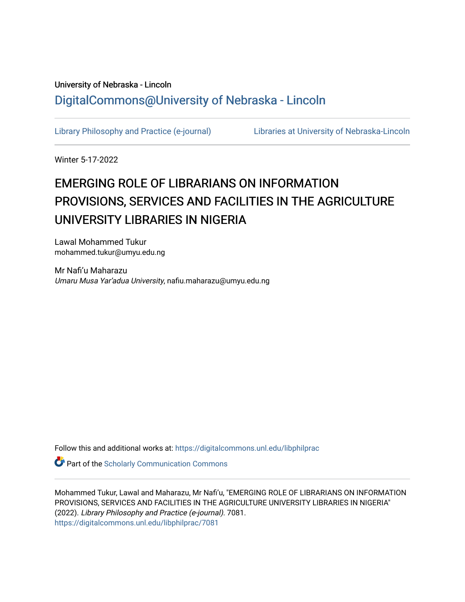# University of Nebraska - Lincoln [DigitalCommons@University of Nebraska - Lincoln](https://digitalcommons.unl.edu/)

[Library Philosophy and Practice \(e-journal\)](https://digitalcommons.unl.edu/libphilprac) [Libraries at University of Nebraska-Lincoln](https://digitalcommons.unl.edu/libraries) 

Winter 5-17-2022

# EMERGING ROLE OF LIBRARIANS ON INFORMATION PROVISIONS, SERVICES AND FACILITIES IN THE AGRICULTURE UNIVERSITY LIBRARIES IN NIGERIA

Lawal Mohammed Tukur mohammed.tukur@umyu.edu.ng

Mr Nafi'u Maharazu Umaru Musa Yar'adua University, nafiu.maharazu@umyu.edu.ng

Follow this and additional works at: [https://digitalcommons.unl.edu/libphilprac](https://digitalcommons.unl.edu/libphilprac?utm_source=digitalcommons.unl.edu%2Flibphilprac%2F7081&utm_medium=PDF&utm_campaign=PDFCoverPages) 

**Part of the Scholarly Communication Commons** 

Mohammed Tukur, Lawal and Maharazu, Mr Nafi'u, "EMERGING ROLE OF LIBRARIANS ON INFORMATION PROVISIONS, SERVICES AND FACILITIES IN THE AGRICULTURE UNIVERSITY LIBRARIES IN NIGERIA" (2022). Library Philosophy and Practice (e-journal). 7081. [https://digitalcommons.unl.edu/libphilprac/7081](https://digitalcommons.unl.edu/libphilprac/7081?utm_source=digitalcommons.unl.edu%2Flibphilprac%2F7081&utm_medium=PDF&utm_campaign=PDFCoverPages)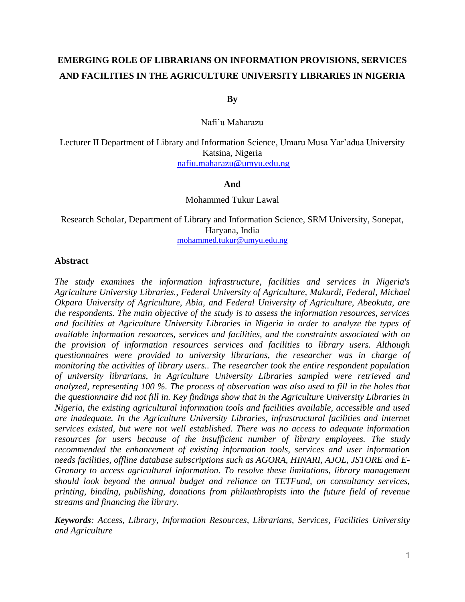# **EMERGING ROLE OF LIBRARIANS ON INFORMATION PROVISIONS, SERVICES AND FACILITIES IN THE AGRICULTURE UNIVERSITY LIBRARIES IN NIGERIA**

**By**

Nafi'u Maharazu

Lecturer II Department of Library and Information Science, Umaru Musa Yar'adua University Katsina, Nigeria [nafiu.maharazu@umyu.edu.ng](mailto:nafiu.maharazu@umyu.edu.ng)

### **And**

Mohammed Tukur Lawal

Research Scholar, Department of Library and Information Science, SRM University, Sonepat, Haryana, India [mohammed.tukur@umyu.edu.ng](mailto:mohammed.tukur@umyu.edu.ng)

### **Abstract**

*The study examines the information infrastructure, facilities and services in Nigeria's Agriculture University Libraries., Federal University of Agriculture, Makurdi, Federal, Michael Okpara University of Agriculture, Abia, and Federal University of Agriculture, Abeokuta, are the respondents. The main objective of the study is to assess the information resources, services and facilities at Agriculture University Libraries in Nigeria in order to analyze the types of available information resources, services and facilities, and the constraints associated with on the provision of information resources services and facilities to library users. Although questionnaires were provided to university librarians, the researcher was in charge of monitoring the activities of library users.. The researcher took the entire respondent population of university librarians, in Agriculture University Libraries sampled were retrieved and analyzed, representing 100 %. The process of observation was also used to fill in the holes that the questionnaire did not fill in. Key findings show that in the Agriculture University Libraries in Nigeria, the existing agricultural information tools and facilities available, accessible and used are inadequate. In the Agriculture University Libraries, infrastructural facilities and internet services existed, but were not well established. There was no access to adequate information resources for users because of the insufficient number of library employees. The study recommended the enhancement of existing information tools, services and user information needs facilities, offline database subscriptions such as AGORA, HINARI, AJOL, JSTORE and E-Granary to access agricultural information. To resolve these limitations, library management should look beyond the annual budget and reliance on TETFund, on consultancy services, printing, binding, publishing, donations from philanthropists into the future field of revenue streams and financing the library.*

*Keywords: Access, Library, Information Resources, Librarians, Services, Facilities University and Agriculture*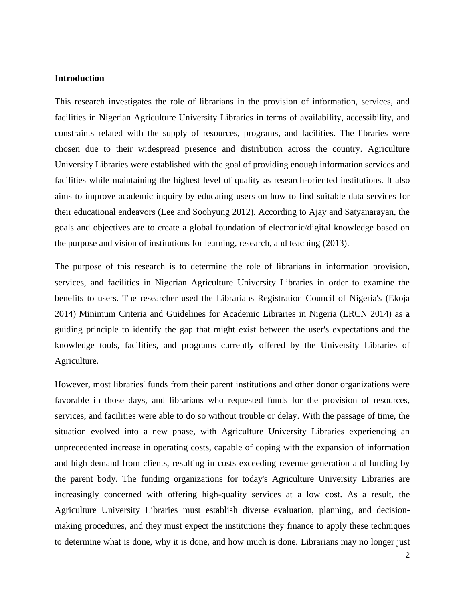#### **Introduction**

This research investigates the role of librarians in the provision of information, services, and facilities in Nigerian Agriculture University Libraries in terms of availability, accessibility, and constraints related with the supply of resources, programs, and facilities. The libraries were chosen due to their widespread presence and distribution across the country. Agriculture University Libraries were established with the goal of providing enough information services and facilities while maintaining the highest level of quality as research-oriented institutions. It also aims to improve academic inquiry by educating users on how to find suitable data services for their educational endeavors (Lee and Soohyung 2012). According to Ajay and Satyanarayan, the goals and objectives are to create a global foundation of electronic/digital knowledge based on the purpose and vision of institutions for learning, research, and teaching (2013).

The purpose of this research is to determine the role of librarians in information provision, services, and facilities in Nigerian Agriculture University Libraries in order to examine the benefits to users. The researcher used the Librarians Registration Council of Nigeria's (Ekoja 2014) Minimum Criteria and Guidelines for Academic Libraries in Nigeria (LRCN 2014) as a guiding principle to identify the gap that might exist between the user's expectations and the knowledge tools, facilities, and programs currently offered by the University Libraries of Agriculture.

However, most libraries' funds from their parent institutions and other donor organizations were favorable in those days, and librarians who requested funds for the provision of resources, services, and facilities were able to do so without trouble or delay. With the passage of time, the situation evolved into a new phase, with Agriculture University Libraries experiencing an unprecedented increase in operating costs, capable of coping with the expansion of information and high demand from clients, resulting in costs exceeding revenue generation and funding by the parent body. The funding organizations for today's Agriculture University Libraries are increasingly concerned with offering high-quality services at a low cost. As a result, the Agriculture University Libraries must establish diverse evaluation, planning, and decisionmaking procedures, and they must expect the institutions they finance to apply these techniques to determine what is done, why it is done, and how much is done. Librarians may no longer just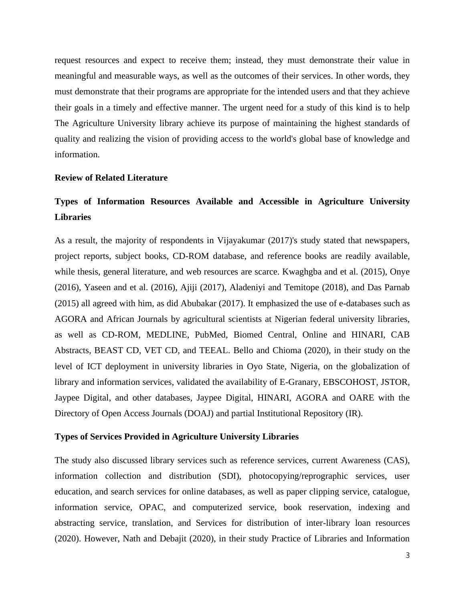request resources and expect to receive them; instead, they must demonstrate their value in meaningful and measurable ways, as well as the outcomes of their services. In other words, they must demonstrate that their programs are appropriate for the intended users and that they achieve their goals in a timely and effective manner. The urgent need for a study of this kind is to help The Agriculture University library achieve its purpose of maintaining the highest standards of quality and realizing the vision of providing access to the world's global base of knowledge and information.

### **Review of Related Literature**

# **Types of Information Resources Available and Accessible in Agriculture University Libraries**

As a result, the majority of respondents in Vijayakumar (2017)'s study stated that newspapers, project reports, subject books, CD-ROM database, and reference books are readily available, while thesis, general literature, and web resources are scarce. Kwaghgba and et al. (2015), Onye (2016), Yaseen and et al. (2016), Ajiji (2017), Aladeniyi and Temitope (2018), and Das Parnab (2015) all agreed with him, as did Abubakar (2017). It emphasized the use of e-databases such as AGORA and African Journals by agricultural scientists at Nigerian federal university libraries, as well as CD-ROM, MEDLINE, PubMed, Biomed Central, Online and HINARI, CAB Abstracts, BEAST CD, VET CD, and TEEAL. Bello and Chioma (2020), in their study on the level of ICT deployment in university libraries in Oyo State, Nigeria, on the globalization of library and information services, validated the availability of E-Granary, EBSCOHOST, JSTOR, Jaypee Digital, and other databases, Jaypee Digital, HINARI, AGORA and OARE with the Directory of Open Access Journals (DOAJ) and partial Institutional Repository (IR).

### **Types of Services Provided in Agriculture University Libraries**

The study also discussed library services such as reference services, current Awareness (CAS), information collection and distribution (SDI), photocopying/reprographic services, user education, and search services for online databases, as well as paper clipping service, catalogue, information service, OPAC, and computerized service, book reservation, indexing and abstracting service, translation, and Services for distribution of inter-library loan resources (2020). However, Nath and Debajit (2020), in their study Practice of Libraries and Information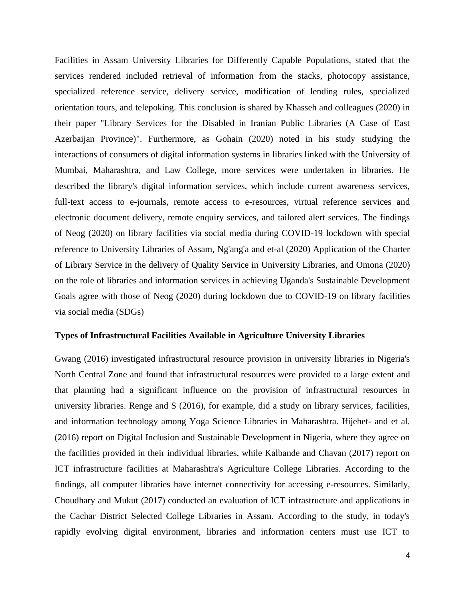Facilities in Assam University Libraries for Differently Capable Populations, stated that the services rendered included retrieval of information from the stacks, photocopy assistance, specialized reference service, delivery service, modification of lending rules, specialized orientation tours, and telepoking. This conclusion is shared by Khasseh and colleagues (2020) in their paper "Library Services for the Disabled in Iranian Public Libraries (A Case of East Azerbaijan Province)". Furthermore, as Gohain (2020) noted in his study studying the interactions of consumers of digital information systems in libraries linked with the University of Mumbai, Maharashtra, and Law College, more services were undertaken in libraries. He described the library's digital information services, which include current awareness services, full-text access to e-journals, remote access to e-resources, virtual reference services and electronic document delivery, remote enquiry services, and tailored alert services. The findings of Neog (2020) on library facilities via social media during COVID-19 lockdown with special reference to University Libraries of Assam, Ng'ang'a and et-al (2020) Application of the Charter of Library Service in the delivery of Quality Service in University Libraries, and Omona (2020) on the role of libraries and information services in achieving Uganda's Sustainable Development Goals agree with those of Neog (2020) during lockdown due to COVID-19 on library facilities via social media (SDGs)

### **Types of Infrastructural Facilities Available in Agriculture University Libraries**

Gwang (2016) investigated infrastructural resource provision in university libraries in Nigeria's North Central Zone and found that infrastructural resources were provided to a large extent and that planning had a significant influence on the provision of infrastructural resources in university libraries. Renge and S (2016), for example, did a study on library services, facilities, and information technology among Yoga Science Libraries in Maharashtra. Ifijehet- and et al. (2016) report on Digital Inclusion and Sustainable Development in Nigeria, where they agree on the facilities provided in their individual libraries, while Kalbande and Chavan (2017) report on ICT infrastructure facilities at Maharashtra's Agriculture College Libraries. According to the findings, all computer libraries have internet connectivity for accessing e-resources. Similarly, Choudhary and Mukut (2017) conducted an evaluation of ICT infrastructure and applications in the Cachar District Selected College Libraries in Assam. According to the study, in today's rapidly evolving digital environment, libraries and information centers must use ICT to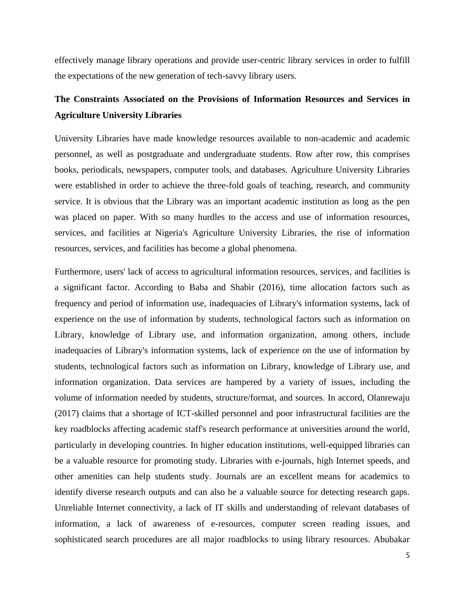effectively manage library operations and provide user-centric library services in order to fulfill the expectations of the new generation of tech-savvy library users.

# **The Constraints Associated on the Provisions of Information Resources and Services in Agriculture University Libraries**

University Libraries have made knowledge resources available to non-academic and academic personnel, as well as postgraduate and undergraduate students. Row after row, this comprises books, periodicals, newspapers, computer tools, and databases. Agriculture University Libraries were established in order to achieve the three-fold goals of teaching, research, and community service. It is obvious that the Library was an important academic institution as long as the pen was placed on paper. With so many hurdles to the access and use of information resources, services, and facilities at Nigeria's Agriculture University Libraries, the rise of information resources, services, and facilities has become a global phenomena.

Furthermore, users' lack of access to agricultural information resources, services, and facilities is a significant factor. According to Baba and Shabir (2016), time allocation factors such as frequency and period of information use, inadequacies of Library's information systems, lack of experience on the use of information by students, technological factors such as information on Library, knowledge of Library use, and information organization, among others, include inadequacies of Library's information systems, lack of experience on the use of information by students, technological factors such as information on Library, knowledge of Library use, and information organization. Data services are hampered by a variety of issues, including the volume of information needed by students, structure/format, and sources. In accord, Olanrewaju (2017) claims that a shortage of ICT-skilled personnel and poor infrastructural facilities are the key roadblocks affecting academic staff's research performance at universities around the world, particularly in developing countries. In higher education institutions, well-equipped libraries can be a valuable resource for promoting study. Libraries with e-journals, high Internet speeds, and other amenities can help students study. Journals are an excellent means for academics to identify diverse research outputs and can also be a valuable source for detecting research gaps. Unreliable Internet connectivity, a lack of IT skills and understanding of relevant databases of information, a lack of awareness of e-resources, computer screen reading issues, and sophisticated search procedures are all major roadblocks to using library resources. Abubakar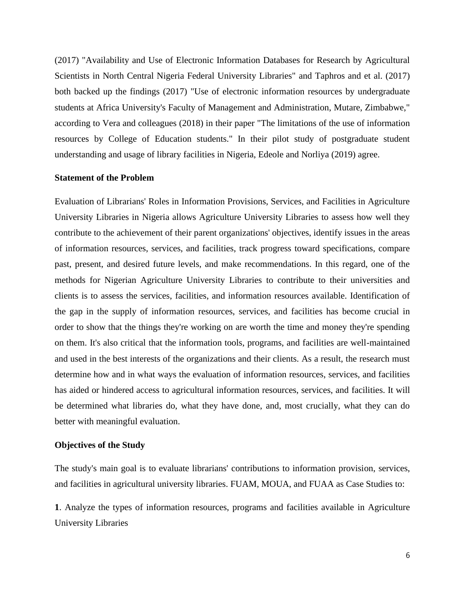(2017) "Availability and Use of Electronic Information Databases for Research by Agricultural Scientists in North Central Nigeria Federal University Libraries" and Taphros and et al. (2017) both backed up the findings (2017) "Use of electronic information resources by undergraduate students at Africa University's Faculty of Management and Administration, Mutare, Zimbabwe," according to Vera and colleagues (2018) in their paper "The limitations of the use of information resources by College of Education students." In their pilot study of postgraduate student understanding and usage of library facilities in Nigeria, Edeole and Norliya (2019) agree.

### **Statement of the Problem**

Evaluation of Librarians' Roles in Information Provisions, Services, and Facilities in Agriculture University Libraries in Nigeria allows Agriculture University Libraries to assess how well they contribute to the achievement of their parent organizations' objectives, identify issues in the areas of information resources, services, and facilities, track progress toward specifications, compare past, present, and desired future levels, and make recommendations. In this regard, one of the methods for Nigerian Agriculture University Libraries to contribute to their universities and clients is to assess the services, facilities, and information resources available. Identification of the gap in the supply of information resources, services, and facilities has become crucial in order to show that the things they're working on are worth the time and money they're spending on them. It's also critical that the information tools, programs, and facilities are well-maintained and used in the best interests of the organizations and their clients. As a result, the research must determine how and in what ways the evaluation of information resources, services, and facilities has aided or hindered access to agricultural information resources, services, and facilities. It will be determined what libraries do, what they have done, and, most crucially, what they can do better with meaningful evaluation.

### **Objectives of the Study**

The study's main goal is to evaluate librarians' contributions to information provision, services, and facilities in agricultural university libraries. FUAM, MOUA, and FUAA as Case Studies to:

**1**. Analyze the types of information resources, programs and facilities available in Agriculture University Libraries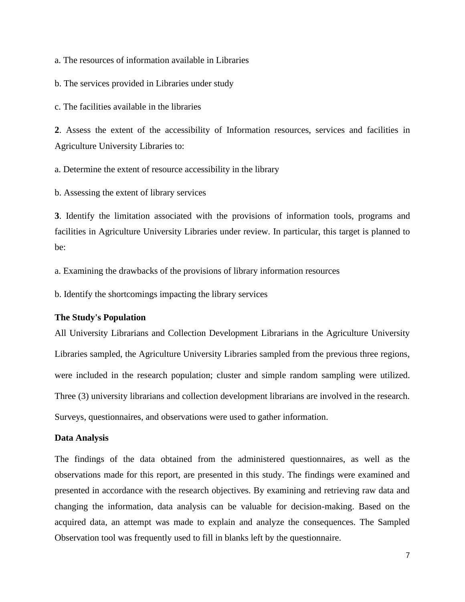a. The resources of information available in Libraries

b. The services provided in Libraries under study

c. The facilities available in the libraries

**2**. Assess the extent of the accessibility of Information resources, services and facilities in Agriculture University Libraries to:

a. Determine the extent of resource accessibility in the library

b. Assessing the extent of library services

**3**. Identify the limitation associated with the provisions of information tools, programs and facilities in Agriculture University Libraries under review. In particular, this target is planned to be:

a. Examining the drawbacks of the provisions of library information resources

b. Identify the shortcomings impacting the library services

### **The Study's Population**

All University Librarians and Collection Development Librarians in the Agriculture University Libraries sampled, the Agriculture University Libraries sampled from the previous three regions, were included in the research population; cluster and simple random sampling were utilized. Three (3) university librarians and collection development librarians are involved in the research. Surveys, questionnaires, and observations were used to gather information.

### **Data Analysis**

The findings of the data obtained from the administered questionnaires, as well as the observations made for this report, are presented in this study. The findings were examined and presented in accordance with the research objectives. By examining and retrieving raw data and changing the information, data analysis can be valuable for decision-making. Based on the acquired data, an attempt was made to explain and analyze the consequences. The Sampled Observation tool was frequently used to fill in blanks left by the questionnaire.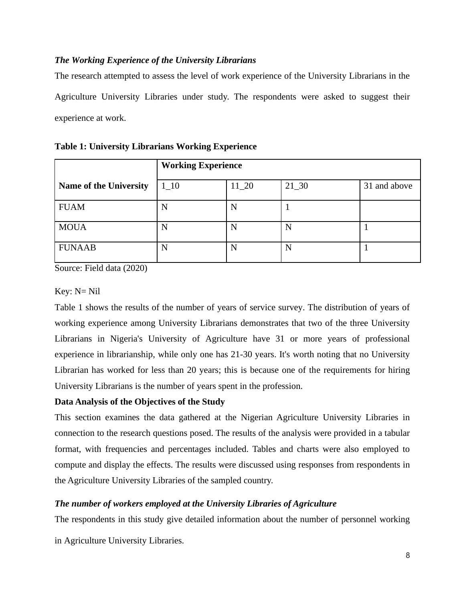### *The Working Experience of the University Librarians*

The research attempted to assess the level of work experience of the University Librarians in the Agriculture University Libraries under study. The respondents were asked to suggest their experience at work.

|                               | <b>Working Experience</b> |          |          |              |
|-------------------------------|---------------------------|----------|----------|--------------|
| <b>Name of the University</b> | $1_{-}10$                 | $11\_20$ | $21\_30$ | 31 and above |
| <b>FUAM</b>                   | N                         | N        |          |              |
| <b>MOUA</b>                   | N                         | N        | N        |              |
| <b>FUNAAB</b>                 | N                         | N        | N        |              |

**Table 1: University Librarians Working Experience**

Source: Field data (2020)

### Key: N= Nil

Table 1 shows the results of the number of years of service survey. The distribution of years of working experience among University Librarians demonstrates that two of the three University Librarians in Nigeria's University of Agriculture have 31 or more years of professional experience in librarianship, while only one has 21-30 years. It's worth noting that no University Librarian has worked for less than 20 years; this is because one of the requirements for hiring University Librarians is the number of years spent in the profession.

### **Data Analysis of the Objectives of the Study**

This section examines the data gathered at the Nigerian Agriculture University Libraries in connection to the research questions posed. The results of the analysis were provided in a tabular format, with frequencies and percentages included. Tables and charts were also employed to compute and display the effects. The results were discussed using responses from respondents in the Agriculture University Libraries of the sampled country.

### *The number of workers employed at the University Libraries of Agriculture*

The respondents in this study give detailed information about the number of personnel working

in Agriculture University Libraries.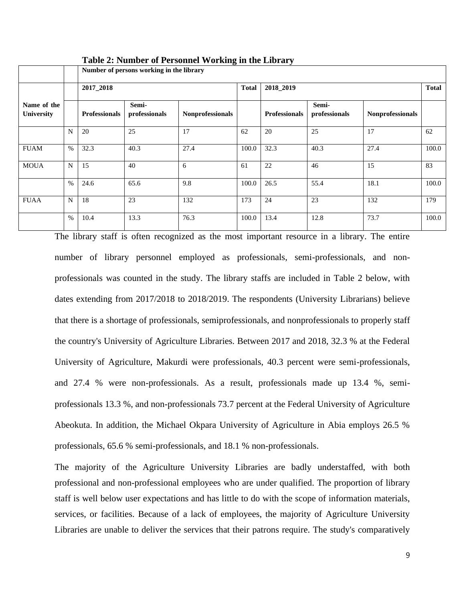|                                  |             |                      | Number of persons working in the library |                         |              |                      |                        |                         |       |  |  |
|----------------------------------|-------------|----------------------|------------------------------------------|-------------------------|--------------|----------------------|------------------------|-------------------------|-------|--|--|
|                                  |             | 2017_2018            |                                          |                         | <b>Total</b> | 2018_2019            |                        |                         |       |  |  |
| Name of the<br><b>University</b> |             | <b>Professionals</b> | Semi-<br>professionals                   | <b>Nonprofessionals</b> |              | <b>Professionals</b> | Semi-<br>professionals | <b>Nonprofessionals</b> |       |  |  |
|                                  | N           | 20                   | 25                                       | 17                      | 62           | 20                   | 25                     | 17                      | 62    |  |  |
| <b>FUAM</b>                      | $\%$        | 32.3                 | 40.3                                     | 27.4                    | 100.0        | 32.3                 | 40.3                   | 27.4                    | 100.0 |  |  |
| <b>MOUA</b>                      | N           | 15                   | 40                                       | 6                       | 61           | 22                   | 46                     | 15                      | 83    |  |  |
|                                  | $\%$        | 24.6                 | 65.6                                     | 9.8                     | 100.0        | 26.5                 | 55.4                   | 18.1                    | 100.0 |  |  |
| <b>FUAA</b>                      | $\mathbf N$ | 18                   | 23                                       | 132                     | 173          | 24                   | 23                     | 132                     | 179   |  |  |
|                                  | $\%$        | 10.4                 | 13.3                                     | 76.3                    | 100.0        | 13.4                 | 12.8                   | 73.7                    | 100.0 |  |  |

**Table 2: Number of Personnel Working in the Library**

The library staff is often recognized as the most important resource in a library. The entire number of library personnel employed as professionals, semi-professionals, and nonprofessionals was counted in the study. The library staffs are included in Table 2 below, with dates extending from 2017/2018 to 2018/2019. The respondents (University Librarians) believe that there is a shortage of professionals, semiprofessionals, and nonprofessionals to properly staff the country's University of Agriculture Libraries. Between 2017 and 2018, 32.3 % at the Federal University of Agriculture, Makurdi were professionals, 40.3 percent were semi-professionals, and 27.4 % were non-professionals. As a result, professionals made up 13.4 %, semiprofessionals 13.3 %, and non-professionals 73.7 percent at the Federal University of Agriculture Abeokuta. In addition, the Michael Okpara University of Agriculture in Abia employs 26.5 % professionals, 65.6 % semi-professionals, and 18.1 % non-professionals.

The majority of the Agriculture University Libraries are badly understaffed, with both professional and non-professional employees who are under qualified. The proportion of library staff is well below user expectations and has little to do with the scope of information materials, services, or facilities. Because of a lack of employees, the majority of Agriculture University Libraries are unable to deliver the services that their patrons require. The study's comparatively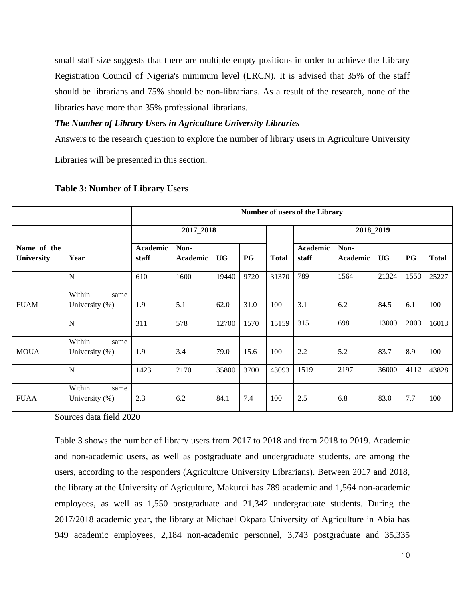small staff size suggests that there are multiple empty positions in order to achieve the Library Registration Council of Nigeria's minimum level (LRCN). It is advised that 35% of the staff should be librarians and 75% should be non-librarians. As a result of the research, none of the libraries have more than 35% professional librarians.

### *The Number of Library Users in Agriculture University Libraries*

Answers to the research question to explore the number of library users in Agriculture University

Libraries will be presented in this section.

|                           |                                  |                   |                         |           |           |              | <b>Number of users of the Library</b> |                                                                                                                                                    |      |     |       |  |
|---------------------------|----------------------------------|-------------------|-------------------------|-----------|-----------|--------------|---------------------------------------|----------------------------------------------------------------------------------------------------------------------------------------------------|------|-----|-------|--|
|                           |                                  |                   | 2017_2018               |           |           |              |                                       | 2018_2019<br><b>UG</b><br><b>PG</b><br><b>Total</b><br>21324<br>1550<br>100<br>84.5<br>6.1<br>13000<br>2000<br>8.9<br>83.7<br>100<br>36000<br>4112 |      |     |       |  |
| Name of the<br>University | Year                             | Academic<br>staff | Non-<br><b>Academic</b> | <b>UG</b> | <b>PG</b> | <b>Total</b> | <b>Academic</b><br>staff              | Non-<br>Academic                                                                                                                                   |      |     |       |  |
|                           | N                                | 610               | 1600                    | 19440     | 9720      | 31370        | 789                                   | 1564                                                                                                                                               |      |     | 25227 |  |
| <b>FUAM</b>               | Within<br>same<br>University (%) | 1.9               | 5.1                     | 62.0      | 31.0      | 100          | 3.1                                   | 6.2                                                                                                                                                |      |     |       |  |
|                           | $\mathbf N$                      | 311               | 578                     | 12700     | 1570      | 15159        | 315                                   | 698                                                                                                                                                |      |     | 16013 |  |
| <b>MOUA</b>               | Within<br>same<br>University (%) | 1.9               | 3.4                     | 79.0      | 15.6      | 100          | 2.2                                   | 5.2                                                                                                                                                |      |     |       |  |
|                           | $\mathbf N$                      | 1423              | 2170                    | 35800     | 3700      | 43093        | 1519                                  | 2197                                                                                                                                               |      |     | 43828 |  |
| <b>FUAA</b>               | Within<br>same<br>University (%) | 2.3               | 6.2                     | 84.1      | 7.4       | 100          | 2.5                                   | 6.8                                                                                                                                                | 83.0 | 7.7 | 100   |  |

### **Table 3: Number of Library Users**

Sources data field 2020

Table 3 shows the number of library users from 2017 to 2018 and from 2018 to 2019. Academic and non-academic users, as well as postgraduate and undergraduate students, are among the users, according to the responders (Agriculture University Librarians). Between 2017 and 2018, the library at the University of Agriculture, Makurdi has 789 academic and 1,564 non-academic employees, as well as 1,550 postgraduate and 21,342 undergraduate students. During the 2017/2018 academic year, the library at Michael Okpara University of Agriculture in Abia has 949 academic employees, 2,184 non-academic personnel, 3,743 postgraduate and 35,335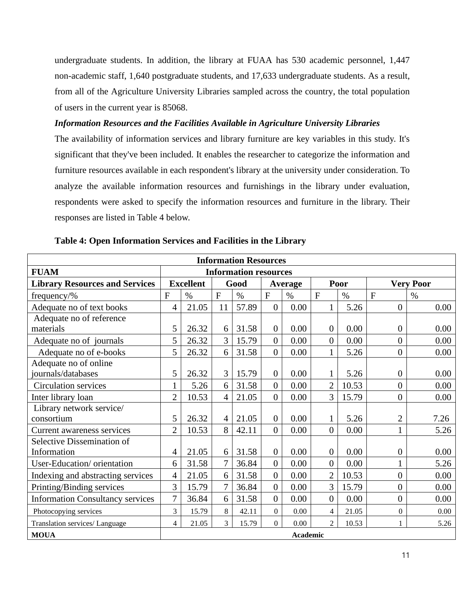undergraduate students. In addition, the library at FUAA has 530 academic personnel, 1,447 non-academic staff, 1,640 postgraduate students, and 17,633 undergraduate students. As a result, from all of the Agriculture University Libraries sampled across the country, the total population of users in the current year is 85068.

### *Information Resources and the Facilities Available in Agriculture University Libraries*

The availability of information services and library furniture are key variables in this study. It's significant that they've been included. It enables the researcher to categorize the information and furniture resources available in each respondent's library at the university under consideration. To analyze the available information resources and furnishings in the library under evaluation, respondents were asked to specify the information resources and furniture in the library. Their responses are listed in Table 4 below.

| <b>Information Resources</b>            |                |                  |                |                              |                  |                 |                |       |                |                  |  |
|-----------------------------------------|----------------|------------------|----------------|------------------------------|------------------|-----------------|----------------|-------|----------------|------------------|--|
| <b>FUAM</b>                             |                |                  |                | <b>Information resources</b> |                  |                 |                |       |                |                  |  |
| <b>Library Resources and Services</b>   |                | <b>Excellent</b> |                | Good                         |                  | <b>Average</b>  |                | Poor  |                | <b>Very Poor</b> |  |
| frequency/%                             | $\mathbf{F}$   | $\%$             | $\mathbf{F}$   | $\%$                         | $\mathbf F$      | $\%$            | $\mathbf{F}$   | $\%$  | $\overline{F}$ | $\%$             |  |
| Adequate no of text books               | 4              | 21.05            | 11             | 57.89                        | $\overline{0}$   | 0.00            | $\mathbf{1}$   | 5.26  | $\overline{0}$ | 0.00             |  |
| Adequate no of reference                |                |                  |                |                              |                  |                 |                |       |                |                  |  |
| materials                               | 5              | 26.32            | 6              | 31.58                        | $\overline{0}$   | 0.00            | $\mathbf{0}$   | 0.00  | $\mathbf{0}$   | 0.00             |  |
| Adequate no of journals                 | 5              | 26.32            | $\overline{3}$ | 15.79                        | $\overline{0}$   | 0.00            | $\overline{0}$ | 0.00  | $\overline{0}$ | 0.00             |  |
| Adequate no of e-books                  | 5              | 26.32            | 6              | 31.58                        | $\overline{0}$   | 0.00            | $\mathbf{1}$   | 5.26  | $\overline{0}$ | 0.00             |  |
| Adequate no of online                   |                |                  |                |                              |                  |                 |                |       |                |                  |  |
| journals/databases                      | 5              | 26.32            | 3 <sup>1</sup> | 15.79                        | $\overline{0}$   | 0.00            | 1              | 5.26  | $\mathbf{0}$   | 0.00             |  |
| <b>Circulation services</b>             | 1              | 5.26             | 6              | 31.58                        | $\overline{0}$   | 0.00            | $\overline{2}$ | 10.53 | $\overline{0}$ | 0.00             |  |
| Inter library loan                      | $\overline{2}$ | 10.53            | $\overline{4}$ | 21.05                        | $\overline{0}$   | 0.00            | $\overline{3}$ | 15.79 | $\mathbf{0}$   | 0.00             |  |
| Library network service/                |                |                  |                |                              |                  |                 |                |       |                |                  |  |
| consortium                              | 5              | 26.32            | $\overline{4}$ | 21.05                        | $\overline{0}$   | 0.00            | $\mathbf{1}$   | 5.26  | $\overline{2}$ | 7.26             |  |
| Current awareness services              | $\overline{2}$ | 10.53            | 8              | 42.11                        | $\overline{0}$   | 0.00            | $\overline{0}$ | 0.00  | $\mathbf{1}$   | 5.26             |  |
| Selective Dissemination of              |                |                  |                |                              |                  |                 |                |       |                |                  |  |
| Information                             | 4              | 21.05            | 6              | 31.58                        | $\overline{0}$   | 0.00            | $\overline{0}$ | 0.00  | $\mathbf{0}$   | 0.00             |  |
| User-Education/orientation              | 6              | 31.58            | $\overline{7}$ | 36.84                        | $\overline{0}$   | 0.00            | $\overline{0}$ | 0.00  |                | 5.26             |  |
| Indexing and abstracting services       | $\overline{4}$ | 21.05            | 6              | 31.58                        | $\overline{0}$   | 0.00            | $\overline{2}$ | 10.53 | $\overline{0}$ | 0.00             |  |
| Printing/Binding services               | 3              | 15.79            | $\overline{7}$ | 36.84                        | $\boldsymbol{0}$ | 0.00            | 3              | 15.79 | $\overline{0}$ | 0.00             |  |
| <b>Information Consultancy services</b> | 7              | 36.84            | 6              | 31.58                        | $\overline{0}$   | 0.00            | $\overline{0}$ | 0.00  | $\overline{0}$ | 0.00             |  |
| Photocopying services                   | 3              | 15.79            | 8              | 42.11                        | $\theta$         | 0.00            | $\overline{4}$ | 21.05 | $\overline{0}$ | 0.00             |  |
| Translation services/ Language          | 4              | 21.05            | 3              | 15.79                        | $\Omega$         | 0.00            | $\overline{2}$ | 10.53 | 1              | 5.26             |  |
| <b>MOUA</b>                             |                |                  |                |                              |                  | <b>Academic</b> |                |       |                |                  |  |

**Table 4: Open Information Services and Facilities in the Library**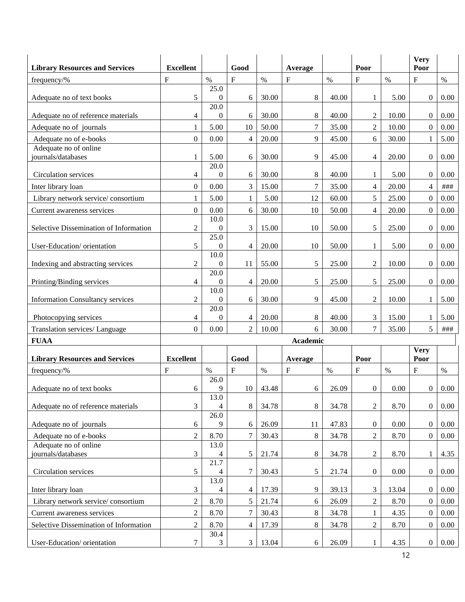| <b>Library Resources and Services</b>   | <b>Excellent</b> |                        | Good           |       | Average        |       | Poor             |       | <b>Very</b><br>Poor |          |
|-----------------------------------------|------------------|------------------------|----------------|-------|----------------|-------|------------------|-------|---------------------|----------|
| frequency/%                             | F                | $\%$                   | F              | $\%$  | F              | $\%$  | $\mathbf{F}$     | $\%$  | $\mathbf{F}$        | $\%$     |
|                                         |                  | 25.0                   |                |       |                |       |                  |       |                     |          |
| Adequate no of text books               | 5                | $\theta$               | 6              | 30.00 | 8              | 40.00 | 1                | 5.00  | $\overline{0}$      | 0.00     |
| Adequate no of reference materials      | 4                | 20.0<br>$\Omega$       | 6              | 30.00 | 8              | 40.00 | $\overline{c}$   | 10.00 | $\overline{0}$      | 0.00     |
| Adequate no of journals                 | 1                | 5.00                   | 10             | 50.00 | $\overline{7}$ | 35.00 | $\overline{2}$   | 10.00 | $\overline{0}$      | 0.00     |
| Adequate no of e-books                  | $\boldsymbol{0}$ | 0.00                   | 4              | 20.00 | 9              | 45.00 | 6                | 30.00 | 1                   | 5.00     |
| Adequate no of online                   |                  |                        |                |       |                |       |                  |       |                     |          |
| journals/databases                      | 1                | 5.00                   | 6              | 30.00 | 9              | 45.00 | 4                | 20.00 | $\overline{0}$      | $0.00\,$ |
| Circulation services                    | 4                | 20.0<br>$\theta$       | 6              | 30.00 | 8              | 40.00 | $\mathbf{1}$     | 5.00  | $\overline{0}$      | 0.00     |
| Inter library loan                      | $\Omega$         | 0.00                   | 3              | 15.00 | $\overline{7}$ | 35.00 | $\overline{4}$   | 20.00 | $\overline{4}$      | ###      |
| Library network service/consortium      | 1                | 5.00                   | $\mathbf{1}$   | 5.00  | 12             | 60.00 | 5                | 25.00 | $\overline{0}$      | 0.00     |
| Current awareness services              | $\overline{0}$   | 0.00                   | 6              | 30.00 | 10             | 50.00 | $\overline{4}$   | 20.00 | $\boldsymbol{0}$    | 0.00     |
|                                         |                  | 10.0                   |                |       |                |       |                  |       |                     |          |
| Selective Dissemination of Information  | $\overline{2}$   | $\overline{0}$<br>25.0 | 3              | 15.00 | 10             | 50.00 | 5                | 25.00 | $\overline{0}$      | 0.00     |
| User-Education/orientation              | 5                | $\mathbf{0}$           | $\overline{4}$ | 20.00 | 10             | 50.00 | $\mathbf{1}$     | 5.00  | $\overline{0}$      | 0.00     |
|                                         |                  | 10.0                   |                |       |                |       |                  |       |                     |          |
| Indexing and abstracting services       | $\overline{2}$   | $\boldsymbol{0}$       | 11             | 55.00 | 5              | 25.00 | $\overline{2}$   | 10.00 | $\boldsymbol{0}$    | $0.00\,$ |
| Printing/Binding services               | 4                | 20.0<br>$\mathbf{0}$   | $\overline{4}$ | 20.00 | 5              | 25.00 | 5                | 25.00 | $\overline{0}$      | 0.00     |
|                                         |                  | 10.0                   |                |       |                |       |                  |       |                     |          |
| <b>Information Consultancy services</b> | $\overline{2}$   | $\mathbf{0}$<br>20.0   | 6              | 30.00 | 9              | 45.00 | $\overline{c}$   | 10.00 | $\mathbf{1}$        | 5.00     |
| Photocopying services                   | 4                | $\mathbf{0}$           | 4              | 20.00 | 8              | 40.00 | 3                | 15.00 | 1                   | 5.00     |
| Translation services/ Language          | $\overline{0}$   | 0.00                   | $\overline{2}$ | 10.00 | 6              | 30.00 | $\overline{7}$   | 35.00 | 5                   | ###      |
| <b>FUAA</b>                             |                  |                        |                |       | Academic       |       |                  |       |                     |          |
| <b>Library Resources and Services</b>   | <b>Excellent</b> |                        | Good           |       | Average        |       | Poor             |       | <b>Very</b><br>Poor |          |
| frequency/%                             | F                | $\%$                   | $\mathbf{F}$   | $\%$  | F              | $\%$  | $\mathbf{F}$     | $\%$  | $\mathbf{F}$        | $\%$     |
|                                         |                  | 26.0                   |                |       |                |       |                  |       |                     |          |
| Adequate no of text books               | 6                | 9                      | 10             | 43.48 | 6              | 26.09 | $\boldsymbol{0}$ | 0.00  | $\boldsymbol{0}$    | 0.00     |
| Adequate no of reference materials      | 3                | 13.0<br>$\overline{4}$ | 8              | 34.78 | 8              | 34.78 | $\mathfrak{2}$   | 8.70  | $\overline{0}$      | $0.00\,$ |
|                                         |                  | $\overline{26.0}$      |                |       |                |       |                  |       |                     |          |
| Adequate no of journals                 | 6                | 9                      | 6              | 26.09 | 11             | 47.83 | $\boldsymbol{0}$ | 0.00  | $\overline{0}$      | $0.00\,$ |
| Adequate no of e-books                  | $\overline{2}$   | 8.70                   | 7              | 30.43 | 8              | 34.78 | $\overline{2}$   | 8.70  | $\overline{0}$      | 0.00     |
| Adequate no of online                   |                  | 13.0                   |                |       |                |       |                  |       |                     |          |
| journals/databases                      | 3                | 4<br>21.7              | 5              | 21.74 | 8              | 34.78 | $\overline{c}$   | 8.70  | 1                   | 4.35     |
| Circulation services                    | 5                | 4                      | 7              | 30.43 | 5              | 21.74 | $\boldsymbol{0}$ | 0.00  | $\overline{0}$      | $0.00\,$ |
|                                         |                  | 13.0                   |                |       |                |       |                  |       |                     |          |
| Inter library loan                      | 3                | 4                      | $\overline{4}$ | 17.39 | 9              | 39.13 | 3                | 13.04 | $\boldsymbol{0}$    | 0.00     |
| Library network service/consortium      | $\overline{2}$   | 8.70                   | 5              | 21.74 | 6              | 26.09 | $\overline{2}$   | 8.70  | $\overline{0}$      | $0.00\,$ |
| Current awareness services              | $\overline{2}$   | 8.70                   | 7              | 30.43 | 8              | 34.78 | $\mathbf{1}$     | 4.35  | $\overline{0}$      | 0.00     |
| Selective Dissemination of Information  | $\overline{2}$   | 8.70                   | $\overline{4}$ | 17.39 | 8              | 34.78 | $\overline{c}$   | 8.70  | $\overline{0}$      | $0.00\,$ |
| User-Education/orientation              | 7                | 30.4<br>3              | $\mathfrak{Z}$ | 13.04 | 6              | 26.09 | 1                | 4.35  | $\overline{0}$      | $0.00\,$ |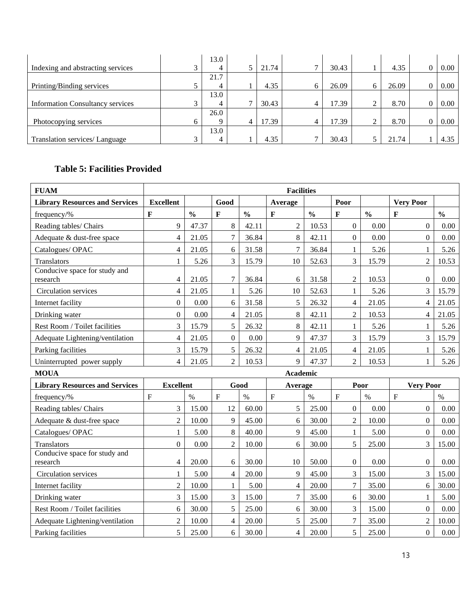|                                         |        | 13.0 |              |       |              |       |           |       |      |
|-----------------------------------------|--------|------|--------------|-------|--------------|-------|-----------|-------|------|
| Indexing and abstracting services       | $\sim$ |      |              | 21.74 | $\mathbf{r}$ | 30.43 |           | 4.35  | 0.00 |
|                                         |        | 21.7 |              |       |              |       |           |       |      |
| Printing/Binding services               |        |      |              | 4.35  | 6            | 26.09 | 6         | 26.09 | 0.00 |
|                                         |        | 13.0 |              |       |              |       |           |       |      |
| <b>Information Consultancy services</b> | $\sim$ |      | $\mathbf{r}$ | 30.43 | 4            | 17.39 | 2         | 8.70  | 0.00 |
|                                         |        | 26.0 |              |       |              |       |           |       |      |
| Photocopying services                   |        |      | 4            | 17.39 | 4            | 17.39 | $\bigcap$ | 8.70  | 0.00 |
|                                         |        | 13.0 |              |       |              |       |           |       |      |
| Translation services/ Language          |        |      |              | 4.35  | $\mathbf{r}$ | 30.43 |           | 21.74 | 4.35 |

## **Table 5: Facilities Provided**

| <b>FUAM</b>                               |                  | <b>Facilities</b> |                |               |                 |               |                          |                          |                  |               |  |
|-------------------------------------------|------------------|-------------------|----------------|---------------|-----------------|---------------|--------------------------|--------------------------|------------------|---------------|--|
| <b>Library Resources and Services</b>     | <b>Excellent</b> |                   | Good           |               | Average         |               | Poor                     |                          | <b>Very Poor</b> |               |  |
| frequency/%                               | F                | $\frac{0}{0}$     | $\mathbf F$    | $\frac{0}{0}$ | $\mathbf{F}$    | $\frac{0}{0}$ | $\mathbf{F}$             | $\frac{0}{0}$            | $\mathbf{F}$     | $\frac{0}{0}$ |  |
| Reading tables/ Chairs                    | 9                | 47.37             | 8              | 42.11         | $\overline{2}$  | 10.53         | $\Omega$                 | 0.00                     | $\theta$         | 0.00          |  |
| Adequate & dust-free space                | 4                | 21.05             | $\overline{7}$ | 36.84         | 8               | 42.11         | $\mathbf{0}$             | 0.00                     | $\overline{0}$   | 0.00          |  |
| Catalogues/OPAC                           | 4                | 21.05             | 6              | 31.58         | $\overline{7}$  | 36.84         | $\mathbf{1}$             | 5.26                     | 1                | 5.26          |  |
| Translators                               | 1                | 5.26              | 3              | 15.79         | 10              | 52.63         | 3                        | 15.79                    | $\overline{2}$   | 10.53         |  |
| Conducive space for study and<br>research | $\overline{4}$   | 21.05             | 7              | 36.84         | 6               | 31.58         | $\overline{2}$           | 10.53                    | $\boldsymbol{0}$ | 0.00          |  |
| Circulation services                      | $\overline{4}$   | 21.05             | $\mathbf{1}$   | 5.26          | 10              | 52.63         | $\mathbf{1}$             | 5.26                     | 3                | 15.79         |  |
| Internet facility                         | $\boldsymbol{0}$ | 0.00              | 6              | 31.58         | 5               | 26.32         | $\overline{\mathcal{L}}$ | 21.05                    | 4                | 21.05         |  |
| Drinking water                            | $\overline{0}$   | 0.00              | $\overline{4}$ | 21.05         | 8               | 42.11         | $\overline{2}$           | 10.53                    | $\overline{4}$   | 21.05         |  |
| Rest Room / Toilet facilities             | 3                | 15.79             | 5              | 26.32         | 8               | 42.11         | $\mathbf{1}$             | 5.26                     | $\mathbf{1}$     | 5.26          |  |
| Adequate Lightening/ventilation           | $\overline{4}$   | 21.05             | $\mathbf{0}$   | 0.00          | 9               | 47.37         | 3                        | 15.79                    | $\overline{3}$   | 15.79         |  |
| Parking facilities                        | 3                | 15.79             | 5              | 26.32         | 4               | 21.05         | $\overline{\mathcal{L}}$ | 21.05                    | 1                | 5.26          |  |
| Uninterrupted power supply                | $\overline{4}$   | 21.05             | $\overline{2}$ | 10.53         | 9               | 47.37         | $\overline{2}$           | 10.53                    | $\mathbf{1}$     | 5.26          |  |
| <b>MOUA</b>                               |                  |                   |                |               | <b>Academic</b> |               |                          |                          |                  |               |  |
| <b>Library Resources and Services</b>     | <b>Excellent</b> |                   |                | Good          | Average         |               |                          | Poor<br><b>Very Poor</b> |                  |               |  |
| frequency/%                               | $\overline{F}$   | $\%$              | $\overline{F}$ | $\%$          | $\overline{F}$  | $\%$          | $\overline{F}$           | $\%$                     | $\mathbf{F}$     | $\%$          |  |
| Reading tables/ Chairs                    | 3                | 15.00             | 12             | 60.00         | 5               | 25.00         | $\overline{0}$           | 0.00                     | $\overline{0}$   | 0.00          |  |
| Adequate & dust-free space                | $\overline{2}$   | 10.00             | 9              | 45.00         | 6               | 30.00         | $\overline{c}$           | 10.00                    | $\Omega$         | 0.00          |  |
| Catalogues/OPAC                           | $\mathbf{1}$     | 5.00              | 8              | 40.00         | 9               | 45.00         | $\mathbf{1}$             | 5.00                     | $\boldsymbol{0}$ | 0.00          |  |
| Translators                               | $\overline{0}$   | 0.00              | $\overline{2}$ | 10.00         | 6               | 30.00         | 5                        | 25.00                    | 3                | 15.00         |  |
| Conducive space for study and<br>research | 4                | 20.00             | 6              | 30.00         | 10              | 50.00         | $\boldsymbol{0}$         | 0.00                     | $\boldsymbol{0}$ | 0.00          |  |
| Circulation services                      | 1                | 5.00              | 4              | 20.00         | 9               | 45.00         | 3                        | 15.00                    | 3                | 15.00         |  |
| Internet facility                         | $\overline{2}$   | 10.00             | 1              | 5.00          | $\overline{4}$  | 20.00         | $\overline{7}$           | 35.00                    | 6                | 30.00         |  |
| Drinking water                            | 3                | 15.00             | 3              | 15.00         | $\overline{7}$  | 35.00         | 6                        | 30.00                    | $\mathbf{1}$     | 5.00          |  |
| Rest Room / Toilet facilities             | 6                | 30.00             | 5              | 25.00         | 6               | 30.00         | 3                        | 15.00                    | $\boldsymbol{0}$ | 0.00          |  |
| Adequate Lightening/ventilation           | $\overline{2}$   | 10.00             | 4              | 20.00         | 5               | 25.00         | $\overline{7}$           | 35.00                    | $\mathfrak{2}$   | 10.00         |  |
| Parking facilities                        | 5                | 25.00             | 6              | 30.00         | $\overline{4}$  | 20.00         | 5                        | 25.00                    | $\overline{0}$   | 0.00          |  |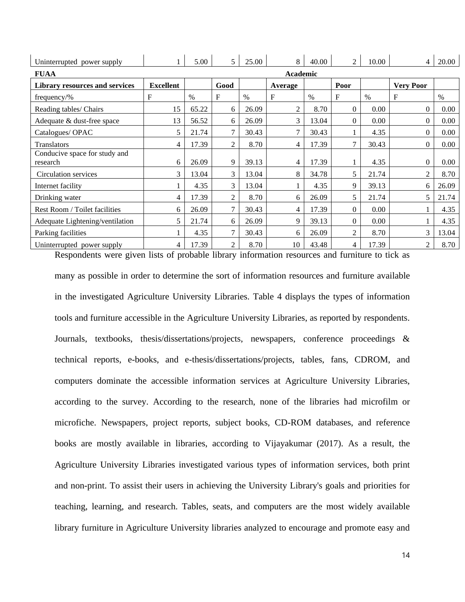| Uninterrupted power supply                |                  | 5.00  | $\mathfrak{S}$ | 25.00 | 8              | 40.00 | 2              | 10.00    | 4                | 20.00 |
|-------------------------------------------|------------------|-------|----------------|-------|----------------|-------|----------------|----------|------------------|-------|
| <b>FUAA</b>                               |                  |       |                |       | Academic       |       |                |          |                  |       |
| <b>Library resources and services</b>     | <b>Excellent</b> |       | Good           |       | Average        |       | Poor           |          | <b>Very Poor</b> |       |
| $frequency\%$                             | F                | $\%$  | F              | $\%$  | F              | $\%$  | $\mathbf{F}$   | $\%$     | $\mathbf F$      | $\%$  |
| Reading tables/ Chairs                    | 15               | 65.22 | 6              | 26.09 | $\overline{2}$ | 8.70  | $\Omega$       | 0.00     | 0                | 0.00  |
| Adequate & dust-free space                | 13               | 56.52 | 6              | 26.09 | 3              | 13.04 | $\Omega$       | 0.00     | 0                | 0.00  |
| Catalogues/OPAC                           | 5                | 21.74 | 7              | 30.43 |                | 30.43 |                | 4.35     | $\overline{0}$   | 0.00  |
| <b>Translators</b>                        | 4                | 17.39 | $\overline{2}$ | 8.70  | 4              | 17.39 | 7              | 30.43    | $\Omega$         | 0.00  |
| Conducive space for study and<br>research | 6                | 26.09 | 9              | 39.13 | 4              | 17.39 |                | 4.35     | $\theta$         | 0.00  |
| Circulation services                      | 3                | 13.04 | 3              | 13.04 | 8              | 34.78 | 5              | 21.74    | $\overline{c}$   | 8.70  |
| Internet facility                         |                  | 4.35  | 3              | 13.04 |                | 4.35  | 9              | 39.13    | 6                | 26.09 |
| Drinking water                            | 4                | 17.39 | 2              | 8.70  | 6              | 26.09 | 5              | 21.74    | 5                | 21.74 |
| Rest Room / Toilet facilities             | 6                | 26.09 | 7              | 30.43 | 4              | 17.39 | $\theta$       | 0.00     |                  | 4.35  |
| Adequate Lightening/ventilation           | 5                | 21.74 | 6              | 26.09 | 9              | 39.13 | $\Omega$       | $0.00\,$ |                  | 4.35  |
| Parking facilities                        |                  | 4.35  | 7              | 30.43 | 6              | 26.09 | $\overline{2}$ | 8.70     | 3                | 13.04 |
| Uninterrupted power supply                | 4                | 17.39 | $\overline{2}$ | 8.70  | 10             | 43.48 | 4              | 17.39    | 2                | 8.70  |

Respondents were given lists of probable library information resources and furniture to tick as many as possible in order to determine the sort of information resources and furniture available in the investigated Agriculture University Libraries. Table 4 displays the types of information tools and furniture accessible in the Agriculture University Libraries, as reported by respondents. Journals, textbooks, thesis/dissertations/projects, newspapers, conference proceedings & technical reports, e-books, and e-thesis/dissertations/projects, tables, fans, CDROM, and computers dominate the accessible information services at Agriculture University Libraries, according to the survey. According to the research, none of the libraries had microfilm or microfiche. Newspapers, project reports, subject books, CD-ROM databases, and reference books are mostly available in libraries, according to Vijayakumar (2017). As a result, the Agriculture University Libraries investigated various types of information services, both print and non-print. To assist their users in achieving the University Library's goals and priorities for teaching, learning, and research. Tables, seats, and computers are the most widely available library furniture in Agriculture University libraries analyzed to encourage and promote easy and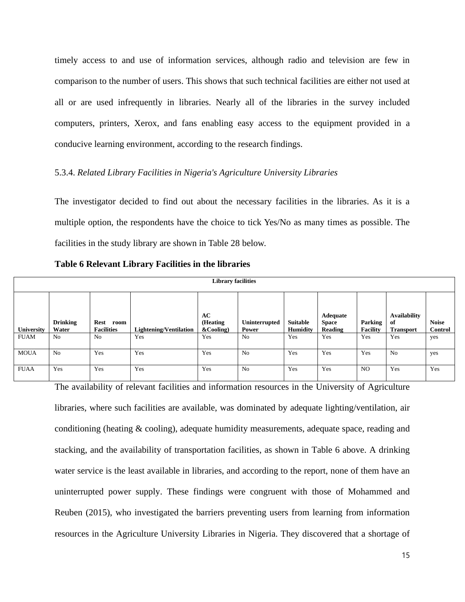timely access to and use of information services, although radio and television are few in comparison to the number of users. This shows that such technical facilities are either not used at all or are used infrequently in libraries. Nearly all of the libraries in the survey included computers, printers, Xerox, and fans enabling easy access to the equipment provided in a conducive learning environment, according to the research findings.

### 5.3.4. *Related Library Facilities in Nigeria's Agriculture University Libraries*

The investigator decided to find out about the necessary facilities in the libraries. As it is a multiple option, the respondents have the choice to tick Yes/No as many times as possible. The facilities in the study library are shown in Table 28 below.

|             | <b>Library facilities</b> |                                          |                               |                                 |                        |                                    |                                            |                            |                                               |                                |  |  |  |
|-------------|---------------------------|------------------------------------------|-------------------------------|---------------------------------|------------------------|------------------------------------|--------------------------------------------|----------------------------|-----------------------------------------------|--------------------------------|--|--|--|
| University  | <b>Drinking</b><br>Water  | <b>Rest</b><br>room<br><b>Facilities</b> | <b>Lightening/Ventilation</b> | AC<br>(Heating<br>$\&$ Cooling) | Uninterrupted<br>Power | <b>Suitable</b><br><b>Humidity</b> | <b>Adequate</b><br><b>Space</b><br>Reading | Parking<br><b>Facility</b> | <b>Availability</b><br>of<br><b>Transport</b> | <b>Noise</b><br><b>Control</b> |  |  |  |
| <b>FUAM</b> | N <sub>o</sub>            | N <sub>0</sub>                           | Yes                           | Yes                             | N <sub>0</sub>         | Yes                                | Yes                                        | Yes                        | Yes                                           | yes                            |  |  |  |
| <b>MOUA</b> | N <sub>o</sub>            | Yes                                      | Yes                           | Yes                             | N <sub>o</sub>         | Yes                                | Yes                                        | Yes                        | N <sub>o</sub>                                | yes                            |  |  |  |
| <b>FUAA</b> | Yes                       | Yes                                      | Yes                           | Yes                             | N <sub>0</sub>         | Yes                                | Yes                                        | N <sub>O</sub>             | Yes                                           | Yes                            |  |  |  |

**Table 6 Relevant Library Facilities in the libraries**

The availability of relevant facilities and information resources in the University of Agriculture libraries, where such facilities are available, was dominated by adequate lighting/ventilation, air conditioning (heating  $\&$  cooling), adequate humidity measurements, adequate space, reading and stacking, and the availability of transportation facilities, as shown in Table 6 above. A drinking water service is the least available in libraries, and according to the report, none of them have an uninterrupted power supply. These findings were congruent with those of Mohammed and Reuben (2015), who investigated the barriers preventing users from learning from information resources in the Agriculture University Libraries in Nigeria. They discovered that a shortage of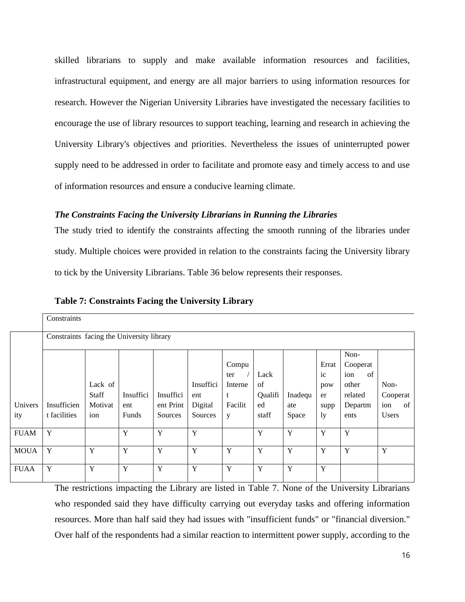skilled librarians to supply and make available information resources and facilities, infrastructural equipment, and energy are all major barriers to using information resources for research. However the Nigerian University Libraries have investigated the necessary facilities to encourage the use of library resources to support teaching, learning and research in achieving the University Library's objectives and priorities. Nevertheless the issues of uninterrupted power supply need to be addressed in order to facilitate and promote easy and timely access to and use of information resources and ensure a conducive learning climate.

### *The Constraints Facing the University Librarians in Running the Libraries*

The study tried to identify the constraints affecting the smooth running of the libraries under study. Multiple choices were provided in relation to the constraints facing the University library to tick by the University Librarians. Table 36 below represents their responses.

| Constraints  |         |           |           |                                                     |         |         |         |             |           |              |
|--------------|---------|-----------|-----------|-----------------------------------------------------|---------|---------|---------|-------------|-----------|--------------|
|              |         |           |           |                                                     |         |         |         |             |           |              |
|              |         |           |           |                                                     |         |         |         |             | Non-      |              |
|              |         |           |           |                                                     | Compu   |         |         | Errat       | Cooperat  |              |
|              |         |           |           |                                                     | ter     | Lack    |         | $i_{\rm c}$ | ion<br>of |              |
|              | Lack of |           |           | Insuffici                                           | Interne | of      |         | pow         | other     | Non-         |
|              | Staff   | Insuffici | Insuffici | ent                                                 | t       | Qualifi | Inadequ | er          | related   | Cooperat     |
| Insufficien  | Motivat | ent       | ent Print | Digital                                             | Facilit | ed      | ate     | supp        | Departm   | ion<br>of    |
| t facilities | ion     | Funds     | Sources   | Sources                                             | y       | staff   | Space   | ly          | ents      | <b>Users</b> |
|              |         |           |           |                                                     |         |         |         |             |           |              |
|              |         |           |           |                                                     |         |         |         |             |           |              |
| Y            | Y       | Y         | Y         | Y                                                   | Y       | Y       | Y       | Y           | Y         | Y            |
|              |         |           |           |                                                     |         |         |         |             |           |              |
|              |         |           |           |                                                     |         |         |         |             |           |              |
|              | Y<br>Y  | Y         | Y<br>Y    | Constraints facing the University library<br>Y<br>Y | Y<br>Y  | Y       | Y<br>Y  | Y<br>Y      | Y<br>Y    | Y            |

**Table 7: Constraints Facing the University Library**

The restrictions impacting the Library are listed in Table 7. None of the University Librarians who responded said they have difficulty carrying out everyday tasks and offering information resources. More than half said they had issues with "insufficient funds" or "financial diversion." Over half of the respondents had a similar reaction to intermittent power supply, according to the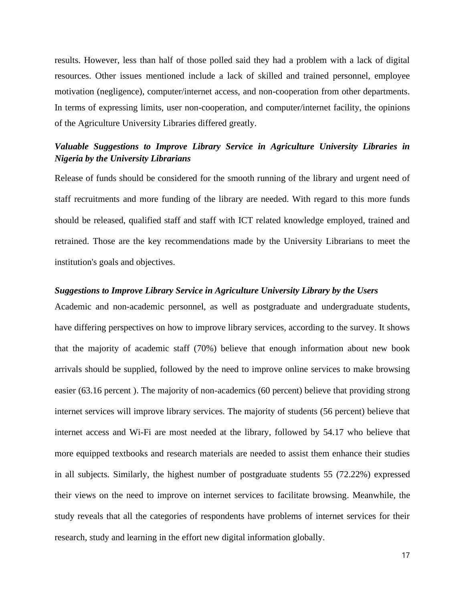results. However, less than half of those polled said they had a problem with a lack of digital resources. Other issues mentioned include a lack of skilled and trained personnel, employee motivation (negligence), computer/internet access, and non-cooperation from other departments. In terms of expressing limits, user non-cooperation, and computer/internet facility, the opinions of the Agriculture University Libraries differed greatly.

### *Valuable Suggestions to Improve Library Service in Agriculture University Libraries in Nigeria by the University Librarians*

Release of funds should be considered for the smooth running of the library and urgent need of staff recruitments and more funding of the library are needed. With regard to this more funds should be released, qualified staff and staff with ICT related knowledge employed, trained and retrained. Those are the key recommendations made by the University Librarians to meet the institution's goals and objectives.

#### *Suggestions to Improve Library Service in Agriculture University Library by the Users*

Academic and non-academic personnel, as well as postgraduate and undergraduate students, have differing perspectives on how to improve library services, according to the survey. It shows that the majority of academic staff (70%) believe that enough information about new book arrivals should be supplied, followed by the need to improve online services to make browsing easier (63.16 percent ). The majority of non-academics (60 percent) believe that providing strong internet services will improve library services. The majority of students (56 percent) believe that internet access and Wi-Fi are most needed at the library, followed by 54.17 who believe that more equipped textbooks and research materials are needed to assist them enhance their studies in all subjects. Similarly, the highest number of postgraduate students 55 (72.22%) expressed their views on the need to improve on internet services to facilitate browsing. Meanwhile, the study reveals that all the categories of respondents have problems of internet services for their research, study and learning in the effort new digital information globally.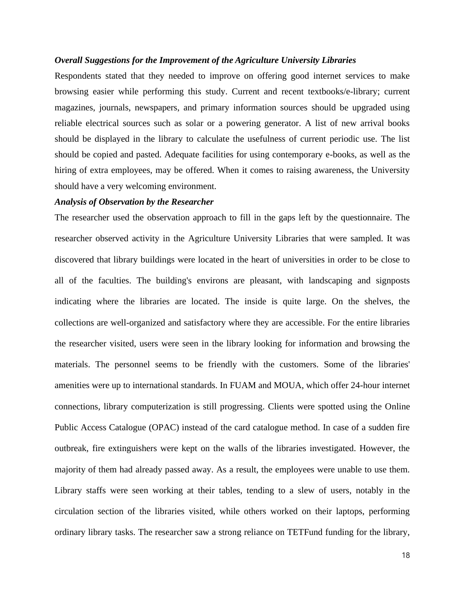### *Overall Suggestions for the Improvement of the Agriculture University Libraries*

Respondents stated that they needed to improve on offering good internet services to make browsing easier while performing this study. Current and recent textbooks/e-library; current magazines, journals, newspapers, and primary information sources should be upgraded using reliable electrical sources such as solar or a powering generator. A list of new arrival books should be displayed in the library to calculate the usefulness of current periodic use. The list should be copied and pasted. Adequate facilities for using contemporary e-books, as well as the hiring of extra employees, may be offered. When it comes to raising awareness, the University should have a very welcoming environment.

### *Analysis of Observation by the Researcher*

The researcher used the observation approach to fill in the gaps left by the questionnaire. The researcher observed activity in the Agriculture University Libraries that were sampled. It was discovered that library buildings were located in the heart of universities in order to be close to all of the faculties. The building's environs are pleasant, with landscaping and signposts indicating where the libraries are located. The inside is quite large. On the shelves, the collections are well-organized and satisfactory where they are accessible. For the entire libraries the researcher visited, users were seen in the library looking for information and browsing the materials. The personnel seems to be friendly with the customers. Some of the libraries' amenities were up to international standards. In FUAM and MOUA, which offer 24-hour internet connections, library computerization is still progressing. Clients were spotted using the Online Public Access Catalogue (OPAC) instead of the card catalogue method. In case of a sudden fire outbreak, fire extinguishers were kept on the walls of the libraries investigated. However, the majority of them had already passed away. As a result, the employees were unable to use them. Library staffs were seen working at their tables, tending to a slew of users, notably in the circulation section of the libraries visited, while others worked on their laptops, performing ordinary library tasks. The researcher saw a strong reliance on TETFund funding for the library,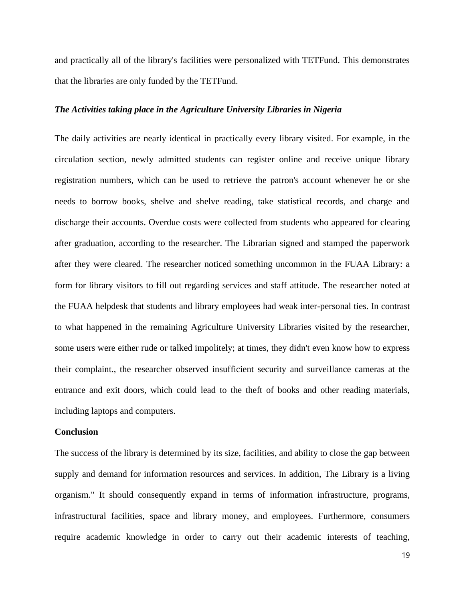and practically all of the library's facilities were personalized with TETFund. This demonstrates that the libraries are only funded by the TETFund.

### *The Activities taking place in the Agriculture University Libraries in Nigeria*

The daily activities are nearly identical in practically every library visited. For example, in the circulation section, newly admitted students can register online and receive unique library registration numbers, which can be used to retrieve the patron's account whenever he or she needs to borrow books, shelve and shelve reading, take statistical records, and charge and discharge their accounts. Overdue costs were collected from students who appeared for clearing after graduation, according to the researcher. The Librarian signed and stamped the paperwork after they were cleared. The researcher noticed something uncommon in the FUAA Library: a form for library visitors to fill out regarding services and staff attitude. The researcher noted at the FUAA helpdesk that students and library employees had weak inter-personal ties. In contrast to what happened in the remaining Agriculture University Libraries visited by the researcher, some users were either rude or talked impolitely; at times, they didn't even know how to express their complaint., the researcher observed insufficient security and surveillance cameras at the entrance and exit doors, which could lead to the theft of books and other reading materials, including laptops and computers.

### **Conclusion**

The success of the library is determined by its size, facilities, and ability to close the gap between supply and demand for information resources and services. In addition, The Library is a living organism." It should consequently expand in terms of information infrastructure, programs, infrastructural facilities, space and library money, and employees. Furthermore, consumers require academic knowledge in order to carry out their academic interests of teaching,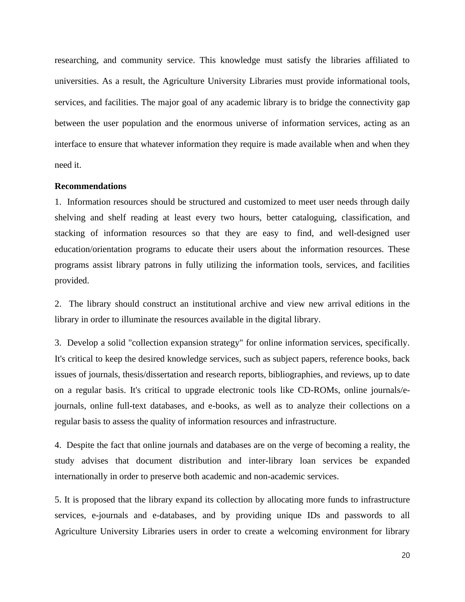researching, and community service. This knowledge must satisfy the libraries affiliated to universities. As a result, the Agriculture University Libraries must provide informational tools, services, and facilities. The major goal of any academic library is to bridge the connectivity gap between the user population and the enormous universe of information services, acting as an interface to ensure that whatever information they require is made available when and when they need it.

#### **Recommendations**

1. Information resources should be structured and customized to meet user needs through daily shelving and shelf reading at least every two hours, better cataloguing, classification, and stacking of information resources so that they are easy to find, and well-designed user education/orientation programs to educate their users about the information resources. These programs assist library patrons in fully utilizing the information tools, services, and facilities provided.

2. The library should construct an institutional archive and view new arrival editions in the library in order to illuminate the resources available in the digital library.

3. Develop a solid "collection expansion strategy" for online information services, specifically. It's critical to keep the desired knowledge services, such as subject papers, reference books, back issues of journals, thesis/dissertation and research reports, bibliographies, and reviews, up to date on a regular basis. It's critical to upgrade electronic tools like CD-ROMs, online journals/ejournals, online full-text databases, and e-books, as well as to analyze their collections on a regular basis to assess the quality of information resources and infrastructure.

4. Despite the fact that online journals and databases are on the verge of becoming a reality, the study advises that document distribution and inter-library loan services be expanded internationally in order to preserve both academic and non-academic services.

5. It is proposed that the library expand its collection by allocating more funds to infrastructure services, e-journals and e-databases, and by providing unique IDs and passwords to all Agriculture University Libraries users in order to create a welcoming environment for library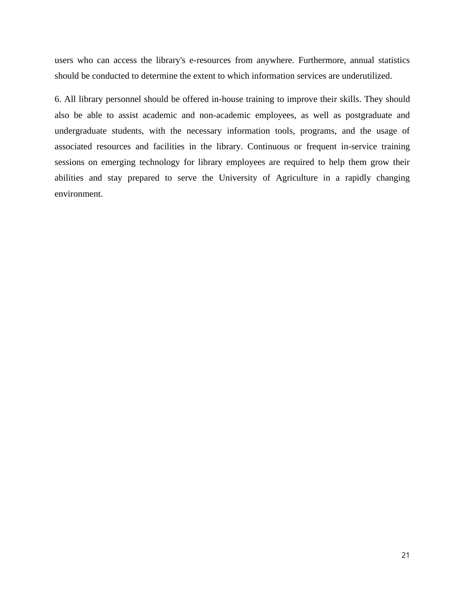users who can access the library's e-resources from anywhere. Furthermore, annual statistics should be conducted to determine the extent to which information services are underutilized.

6. All library personnel should be offered in-house training to improve their skills. They should also be able to assist academic and non-academic employees, as well as postgraduate and undergraduate students, with the necessary information tools, programs, and the usage of associated resources and facilities in the library. Continuous or frequent in-service training sessions on emerging technology for library employees are required to help them grow their abilities and stay prepared to serve the University of Agriculture in a rapidly changing environment.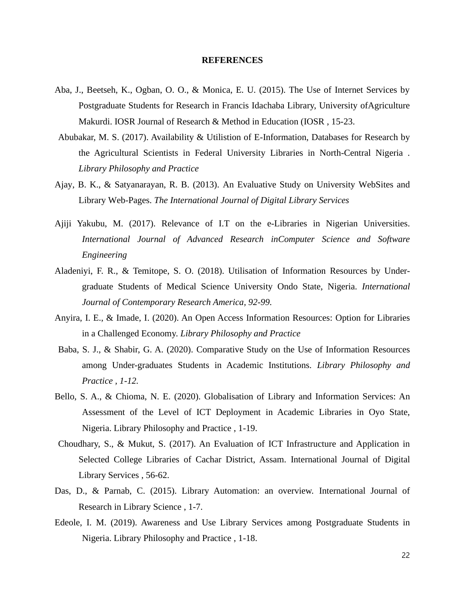#### **REFERENCES**

- Aba, J., Beetseh, K., Ogban, O. O., & Monica, E. U. (2015). The Use of Internet Services by Postgraduate Students for Research in Francis Idachaba Library, University ofAgriculture Makurdi. IOSR Journal of Research & Method in Education (IOSR , 15-23.
- Abubakar, M. S. (2017). Availability & Utilistion of E-Information, Databases for Research by the Agricultural Scientists in Federal University Libraries in North-Central Nigeria . *Library Philosophy and Practice*
- Ajay, B. K., & Satyanarayan, R. B. (2013). An Evaluative Study on University WebSites and Library Web-Pages. *The International Journal of Digital Library Services*
- Ajiji Yakubu, M. (2017). Relevance of I.T on the e-Libraries in Nigerian Universities. *International Journal of Advanced Research inComputer Science and Software Engineering*
- Aladeniyi, F. R., & Temitope, S. O. (2018). Utilisation of Information Resources by Undergraduate Students of Medical Science University Ondo State, Nigeria. *International Journal of Contemporary Research America, 92-99.*
- Anyira, I. E., & Imade, I. (2020). An Open Access Information Resources: Option for Libraries in a Challenged Economy. *Library Philosophy and Practice*
- Baba, S. J., & Shabir, G. A. (2020). Comparative Study on the Use of Information Resources among Under-graduates Students in Academic Institutions. *Library Philosophy and Practice , 1-12.*
- Bello, S. A., & Chioma, N. E. (2020). Globalisation of Library and Information Services: An Assessment of the Level of ICT Deployment in Academic Libraries in Oyo State, Nigeria. Library Philosophy and Practice , 1-19.
- Choudhary, S., & Mukut, S. (2017). An Evaluation of ICT Infrastructure and Application in Selected College Libraries of Cachar District, Assam. International Journal of Digital Library Services , 56-62.
- Das, D., & Parnab, C. (2015). Library Automation: an overview. International Journal of Research in Library Science , 1-7.
- Edeole, I. M. (2019). Awareness and Use Library Services among Postgraduate Students in Nigeria. Library Philosophy and Practice , 1-18.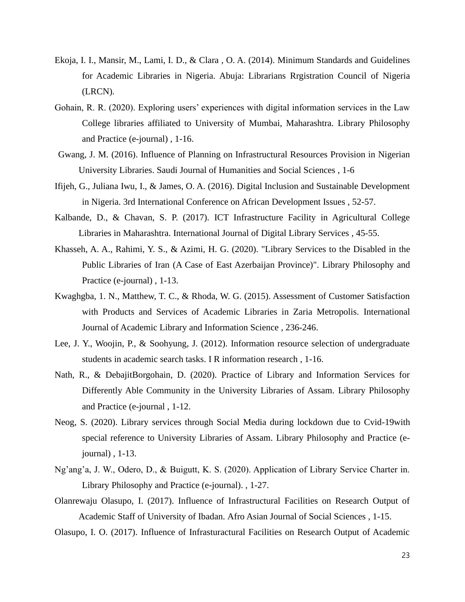- Ekoja, I. I., Mansir, M., Lami, I. D., & Clara , O. A. (2014). Minimum Standards and Guidelines for Academic Libraries in Nigeria. Abuja: Librarians Rrgistration Council of Nigeria (LRCN).
- Gohain, R. R. (2020). Exploring users' experiences with digital information services in the Law College libraries affiliated to University of Mumbai, Maharashtra. Library Philosophy and Practice (e-journal) , 1-16.
- Gwang, J. M. (2016). Influence of Planning on Infrastructural Resources Provision in Nigerian University Libraries. Saudi Journal of Humanities and Social Sciences , 1-6
- Ifijeh, G., Juliana Iwu, I., & James, O. A. (2016). Digital Inclusion and Sustainable Development in Nigeria. 3rd International Conference on African Development Issues , 52-57.
- Kalbande, D., & Chavan, S. P. (2017). ICT Infrastructure Facility in Agricultural College Libraries in Maharashtra. International Journal of Digital Library Services , 45-55.
- Khasseh, A. A., Rahimi, Y. S., & Azimi, H. G. (2020). "Library Services to the Disabled in the Public Libraries of Iran (A Case of East Azerbaijan Province)". Library Philosophy and Practice (e-journal) , 1-13.
- Kwaghgba, 1. N., Matthew, T. C., & Rhoda, W. G. (2015). Assessment of Customer Satisfaction with Products and Services of Academic Libraries in Zaria Metropolis. International Journal of Academic Library and Information Science , 236-246.
- Lee, J. Y., Woojin, P., & Soohyung, J. (2012). Information resource selection of undergraduate students in academic search tasks. I R information research , 1-16.
- Nath, R., & DebajitBorgohain, D. (2020). Practice of Library and Information Services for Differently Able Community in the University Libraries of Assam. Library Philosophy and Practice (e-journal , 1-12.
- Neog, S. (2020). Library services through Social Media during lockdown due to Cvid-19with special reference to University Libraries of Assam. Library Philosophy and Practice (ejournal) , 1-13.
- Ng'ang'a, J. W., Odero, D., & Buigutt, K. S. (2020). Application of Library Service Charter in. Library Philosophy and Practice (e-journal). , 1-27.
- Olanrewaju Olasupo, I. (2017). Influence of Infrastructural Facilities on Research Output of Academic Staff of University of Ibadan. Afro Asian Journal of Social Sciences , 1-15.
- Olasupo, I. O. (2017). Influence of Infrasturactural Facilities on Research Output of Academic